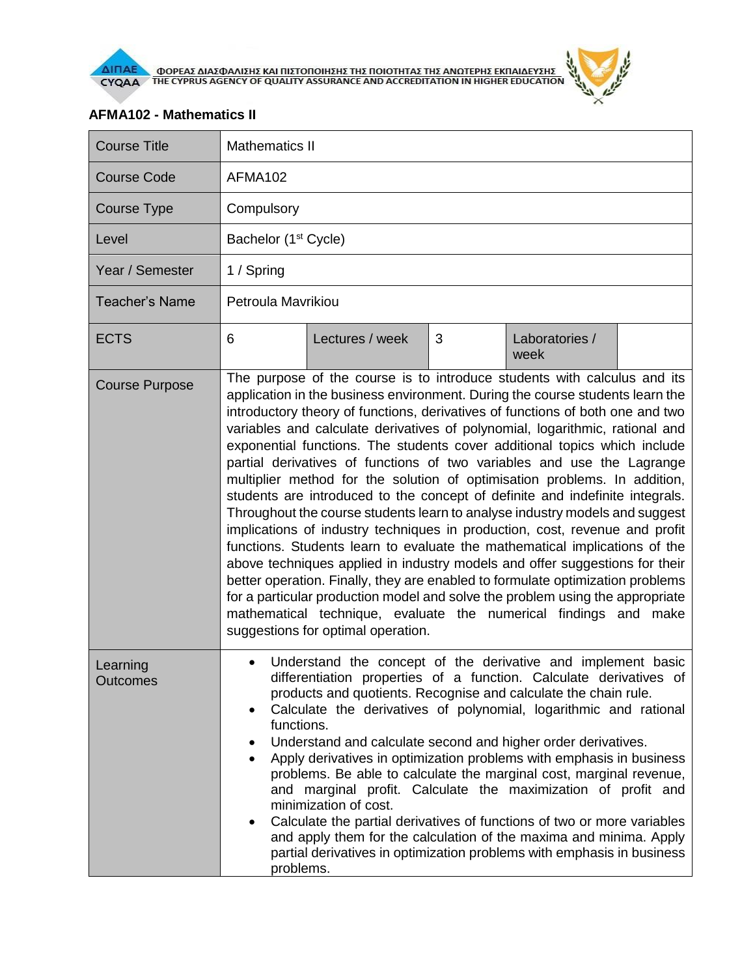

## **AFMA102 - Mathematics II**

| <b>Course Title</b>   | <b>Mathematics II</b>                                                                                                                                                                                                                                                                                                                                                                                                                                                                                                                                                                                                                                                                                                                                                                                                                                                                                                                                                                                                                                                                                                                                                                                                                                   |                 |   |                        |  |  |
|-----------------------|---------------------------------------------------------------------------------------------------------------------------------------------------------------------------------------------------------------------------------------------------------------------------------------------------------------------------------------------------------------------------------------------------------------------------------------------------------------------------------------------------------------------------------------------------------------------------------------------------------------------------------------------------------------------------------------------------------------------------------------------------------------------------------------------------------------------------------------------------------------------------------------------------------------------------------------------------------------------------------------------------------------------------------------------------------------------------------------------------------------------------------------------------------------------------------------------------------------------------------------------------------|-----------------|---|------------------------|--|--|
| <b>Course Code</b>    | AFMA102                                                                                                                                                                                                                                                                                                                                                                                                                                                                                                                                                                                                                                                                                                                                                                                                                                                                                                                                                                                                                                                                                                                                                                                                                                                 |                 |   |                        |  |  |
| Course Type           | Compulsory                                                                                                                                                                                                                                                                                                                                                                                                                                                                                                                                                                                                                                                                                                                                                                                                                                                                                                                                                                                                                                                                                                                                                                                                                                              |                 |   |                        |  |  |
| Level                 | Bachelor (1 <sup>st</sup> Cycle)                                                                                                                                                                                                                                                                                                                                                                                                                                                                                                                                                                                                                                                                                                                                                                                                                                                                                                                                                                                                                                                                                                                                                                                                                        |                 |   |                        |  |  |
| Year / Semester       | 1 / Spring                                                                                                                                                                                                                                                                                                                                                                                                                                                                                                                                                                                                                                                                                                                                                                                                                                                                                                                                                                                                                                                                                                                                                                                                                                              |                 |   |                        |  |  |
| <b>Teacher's Name</b> | Petroula Mavrikiou                                                                                                                                                                                                                                                                                                                                                                                                                                                                                                                                                                                                                                                                                                                                                                                                                                                                                                                                                                                                                                                                                                                                                                                                                                      |                 |   |                        |  |  |
| <b>ECTS</b>           | 6                                                                                                                                                                                                                                                                                                                                                                                                                                                                                                                                                                                                                                                                                                                                                                                                                                                                                                                                                                                                                                                                                                                                                                                                                                                       | Lectures / week | 3 | Laboratories /<br>week |  |  |
| <b>Course Purpose</b> | The purpose of the course is to introduce students with calculus and its<br>application in the business environment. During the course students learn the<br>introductory theory of functions, derivatives of functions of both one and two<br>variables and calculate derivatives of polynomial, logarithmic, rational and<br>exponential functions. The students cover additional topics which include<br>partial derivatives of functions of two variables and use the Lagrange<br>multiplier method for the solution of optimisation problems. In addition,<br>students are introduced to the concept of definite and indefinite integrals.<br>Throughout the course students learn to analyse industry models and suggest<br>implications of industry techniques in production, cost, revenue and profit<br>functions. Students learn to evaluate the mathematical implications of the<br>above techniques applied in industry models and offer suggestions for their<br>better operation. Finally, they are enabled to formulate optimization problems<br>for a particular production model and solve the problem using the appropriate<br>mathematical technique, evaluate the numerical findings and make<br>suggestions for optimal operation. |                 |   |                        |  |  |
| Learning<br>Outcomes  | Understand the concept of the derivative and implement basic<br>differentiation properties of a function. Calculate derivatives of<br>products and quotients. Recognise and calculate the chain rule.<br>Calculate the derivatives of polynomial, logarithmic and rational<br>functions.<br>Understand and calculate second and higher order derivatives.<br>Apply derivatives in optimization problems with emphasis in business<br>٠<br>problems. Be able to calculate the marginal cost, marginal revenue,<br>and marginal profit. Calculate the maximization of profit and<br>minimization of cost.<br>Calculate the partial derivatives of functions of two or more variables<br>and apply them for the calculation of the maxima and minima. Apply<br>partial derivatives in optimization problems with emphasis in business<br>problems.                                                                                                                                                                                                                                                                                                                                                                                                         |                 |   |                        |  |  |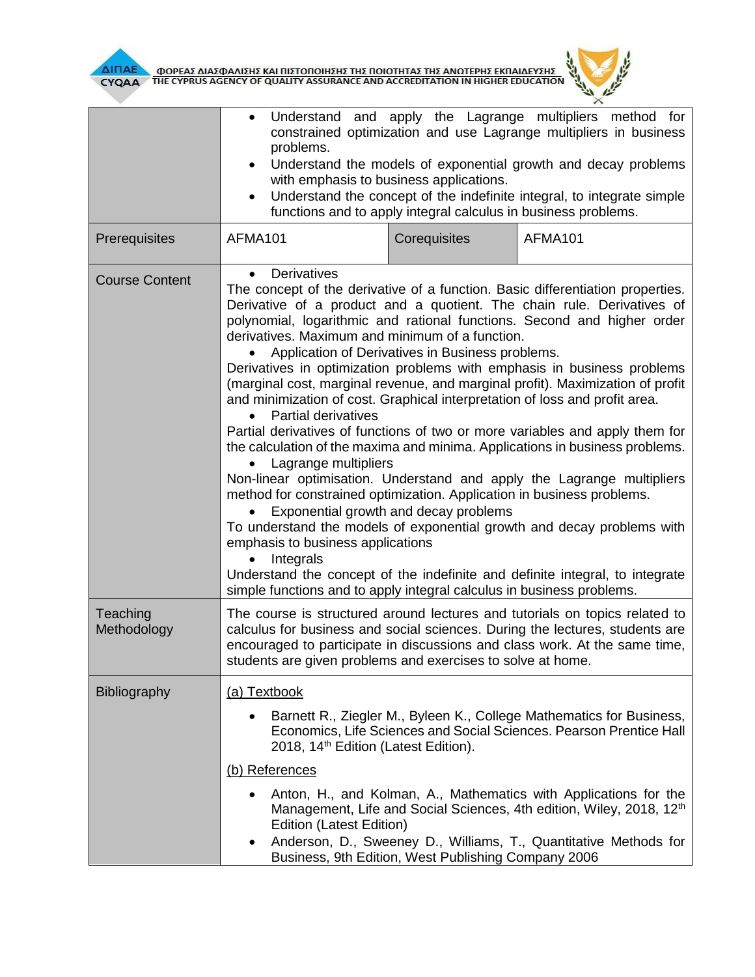

| ΔΙΠΑΕ<br>ΦΟΡΕΑΣ ΔΙΑΣΦΑΛΙΣΗΣ ΚΑΙ ΠΙΣΤΟΠΟΙΗΣΗΣ ΤΗΣ ΠΟΙΟΤΗΤΑΣ ΤΗΣ ΑΝΩΤΕΡΗΣ ΕΚΠΑΙΔΕΥΣΗΣ<br>ΤΗΕ CYPRUS AGENCY OF QUALITY ASSURANCE AND ACCREDITATION IN HIGHER EDUCATION<br><b>CYQAA</b> |                                                                                                                                                                                                                                                                                                                                                                                                                                                                                                                                                                                                                                                                                                                                                                                                                                                                                                                                                                                                                                                                                                                                                                                                                                                                                                                            |                                                     |                                                                                                                                                                                                                          |  |  |  |
|-------------------------------------------------------------------------------------------------------------------------------------------------------------------------------------|----------------------------------------------------------------------------------------------------------------------------------------------------------------------------------------------------------------------------------------------------------------------------------------------------------------------------------------------------------------------------------------------------------------------------------------------------------------------------------------------------------------------------------------------------------------------------------------------------------------------------------------------------------------------------------------------------------------------------------------------------------------------------------------------------------------------------------------------------------------------------------------------------------------------------------------------------------------------------------------------------------------------------------------------------------------------------------------------------------------------------------------------------------------------------------------------------------------------------------------------------------------------------------------------------------------------------|-----------------------------------------------------|--------------------------------------------------------------------------------------------------------------------------------------------------------------------------------------------------------------------------|--|--|--|
|                                                                                                                                                                                     | Understand and apply the Lagrange multipliers<br>method<br>for<br>constrained optimization and use Lagrange multipliers in business<br>problems.<br>Understand the models of exponential growth and decay problems<br>$\bullet$<br>with emphasis to business applications.<br>Understand the concept of the indefinite integral, to integrate simple<br>functions and to apply integral calculus in business problems.                                                                                                                                                                                                                                                                                                                                                                                                                                                                                                                                                                                                                                                                                                                                                                                                                                                                                                     |                                                     |                                                                                                                                                                                                                          |  |  |  |
| Prerequisites                                                                                                                                                                       | AFMA101                                                                                                                                                                                                                                                                                                                                                                                                                                                                                                                                                                                                                                                                                                                                                                                                                                                                                                                                                                                                                                                                                                                                                                                                                                                                                                                    | Corequisites                                        | AFMA101                                                                                                                                                                                                                  |  |  |  |
| <b>Course Content</b>                                                                                                                                                               | Derivatives<br>The concept of the derivative of a function. Basic differentiation properties.<br>Derivative of a product and a quotient. The chain rule. Derivatives of<br>polynomial, logarithmic and rational functions. Second and higher order<br>derivatives. Maximum and minimum of a function.<br>Application of Derivatives in Business problems.<br>Derivatives in optimization problems with emphasis in business problems<br>(marginal cost, marginal revenue, and marginal profit). Maximization of profit<br>and minimization of cost. Graphical interpretation of loss and profit area.<br><b>Partial derivatives</b><br>$\bullet$<br>Partial derivatives of functions of two or more variables and apply them for<br>the calculation of the maxima and minima. Applications in business problems.<br>Lagrange multipliers<br>Non-linear optimisation. Understand and apply the Lagrange multipliers<br>method for constrained optimization. Application in business problems.<br>Exponential growth and decay problems<br>To understand the models of exponential growth and decay problems with<br>emphasis to business applications<br>Integrals<br>Understand the concept of the indefinite and definite integral, to integrate<br>simple functions and to apply integral calculus in business problems. |                                                     |                                                                                                                                                                                                                          |  |  |  |
| Teaching<br>Methodology                                                                                                                                                             | The course is structured around lectures and tutorials on topics related to<br>calculus for business and social sciences. During the lectures, students are<br>encouraged to participate in discussions and class work. At the same time,<br>students are given problems and exercises to solve at home.                                                                                                                                                                                                                                                                                                                                                                                                                                                                                                                                                                                                                                                                                                                                                                                                                                                                                                                                                                                                                   |                                                     |                                                                                                                                                                                                                          |  |  |  |
| <b>Bibliography</b>                                                                                                                                                                 | (a) Textbook                                                                                                                                                                                                                                                                                                                                                                                                                                                                                                                                                                                                                                                                                                                                                                                                                                                                                                                                                                                                                                                                                                                                                                                                                                                                                                               |                                                     |                                                                                                                                                                                                                          |  |  |  |
|                                                                                                                                                                                     | 2018, 14 <sup>th</sup> Edition (Latest Edition).<br>(b) References                                                                                                                                                                                                                                                                                                                                                                                                                                                                                                                                                                                                                                                                                                                                                                                                                                                                                                                                                                                                                                                                                                                                                                                                                                                         |                                                     | Barnett R., Ziegler M., Byleen K., College Mathematics for Business,<br>Economics, Life Sciences and Social Sciences. Pearson Prentice Hall                                                                              |  |  |  |
|                                                                                                                                                                                     | <b>Edition (Latest Edition)</b>                                                                                                                                                                                                                                                                                                                                                                                                                                                                                                                                                                                                                                                                                                                                                                                                                                                                                                                                                                                                                                                                                                                                                                                                                                                                                            | Business, 9th Edition, West Publishing Company 2006 | Anton, H., and Kolman, A., Mathematics with Applications for the<br>Management, Life and Social Sciences, 4th edition, Wiley, 2018, 12 <sup>th</sup><br>Anderson, D., Sweeney D., Williams, T., Quantitative Methods for |  |  |  |